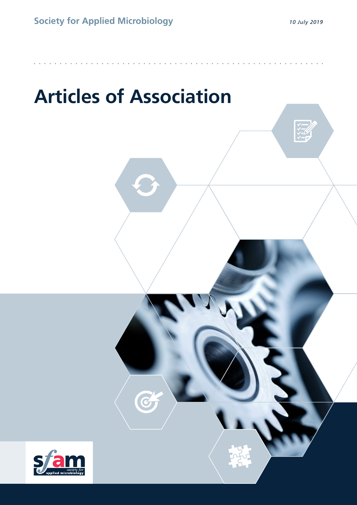$\begin{array}{c} \sqrt{2} \\ \sqrt{2} \\ \sqrt{2} \end{array}$ 

# **Articles of Association**

G

**••••••••••••••••••••••••••••••••••••••••••••••••••••••••**

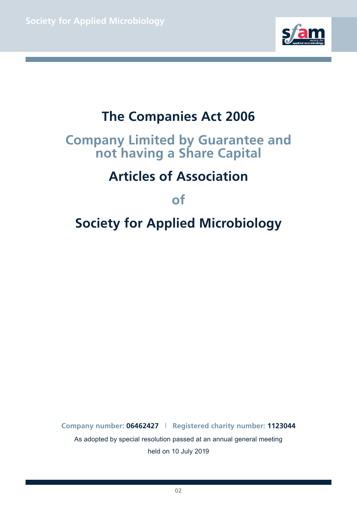

# **The Companies Act 2006**

# **Company Limited by Guarantee and not having a Share Capital**

# **Articles of Association**

**of**

# **Society for Applied Microbiology**

**Company number: 06462427** | **Registered charity number: 1123044** As adopted by special resolution passed at an annual general meeting held on 10 July 2019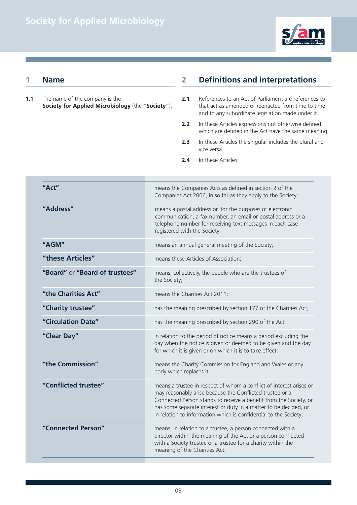

### **1 Name**

**1.1** The name of the company is the **Society for Applied Microbiology** (the "**Society**").

# **2 Definitions and interpretations**

- **2.1** References to an Act of Parliament are references to that act as amended or reenacted from time to time and to any subordinate legislation made under it.
- **2.2** In these Articles expressions not otherwise defined which are defined in the Act have the same meaning.
- **2.3** In these Articles the singular includes the plural and vice versa.
- **2.4** In these Articles:

| "Act"                          | means the Companies Acts as defined in section 2 of the<br>Companies Act 2006, in so far as they apply to the Society;                                                                                                                                                                                                                       |
|--------------------------------|----------------------------------------------------------------------------------------------------------------------------------------------------------------------------------------------------------------------------------------------------------------------------------------------------------------------------------------------|
| "Address"                      | means a postal address or, for the purposes of electronic<br>communication, a fax number, an email or postal address or a<br>telephone number for receiving text messages in each case<br>registered with the Society;                                                                                                                       |
| "AGM"                          | means an annual general meeting of the Society;                                                                                                                                                                                                                                                                                              |
| "these Articles"               | means these Articles of Association;                                                                                                                                                                                                                                                                                                         |
| "Board" or "Board of trustees" | means, collectively, the people who are the trustees of<br>the Society;                                                                                                                                                                                                                                                                      |
| "the Charities Act"            | means the Charities Act 2011;                                                                                                                                                                                                                                                                                                                |
| "Charity trustee"              | has the meaning prescribed by section 177 of the Charities Act;                                                                                                                                                                                                                                                                              |
| "Circulation Date"             | has the meaning prescribed by section 290 of the Act;                                                                                                                                                                                                                                                                                        |
| "Clear Day"                    | in relation to the period of notice means a period excluding the<br>day when the notice is given or deemed to be given and the day<br>for which it is given or on which it is to take effect;                                                                                                                                                |
| "the Commission"               | means the Charity Commission for England and Wales or any<br>body which replaces it;                                                                                                                                                                                                                                                         |
| "Conflicted trustee"           | means a trustee in respect of whom a conflict of interest arises or<br>may reasonably arise because the Conflicted trustee or a<br>Connected Person stands to receive a benefit from the Society, or<br>has some separate interest or duty in a matter to be decided, or<br>in relation to information which is confidential to the Society; |
| "Connected Person"             | means, in relation to a trustee, a person connected with a<br>director within the meaning of the Act or a person connected<br>with a Society trustee or a trustee for a charity within the<br>meaning of the Charities Act;                                                                                                                  |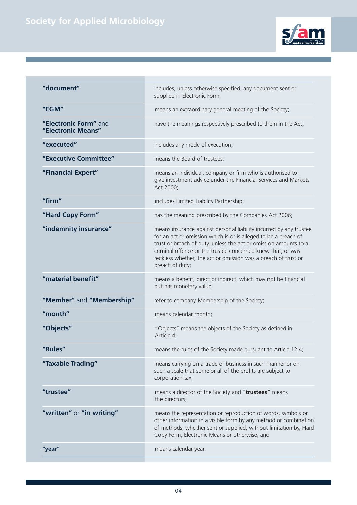

| "document"                                  | includes, unless otherwise specified, any document sent or<br>supplied in Electronic Form;                                                                                                                                                                                                                                                                    |
|---------------------------------------------|---------------------------------------------------------------------------------------------------------------------------------------------------------------------------------------------------------------------------------------------------------------------------------------------------------------------------------------------------------------|
| "EGM"                                       | means an extraordinary general meeting of the Society;                                                                                                                                                                                                                                                                                                        |
| "Electronic Form" and<br>"Electronic Means" | have the meanings respectively prescribed to them in the Act;                                                                                                                                                                                                                                                                                                 |
| "executed"                                  | includes any mode of execution;                                                                                                                                                                                                                                                                                                                               |
| "Executive Committee"                       | means the Board of trustees;                                                                                                                                                                                                                                                                                                                                  |
| "Financial Expert"                          | means an individual, company or firm who is authorised to<br>give investment advice under the Financial Services and Markets<br>Act 2000;                                                                                                                                                                                                                     |
| "firm"                                      | includes Limited Liability Partnership;                                                                                                                                                                                                                                                                                                                       |
| "Hard Copy Form"                            | has the meaning prescribed by the Companies Act 2006;                                                                                                                                                                                                                                                                                                         |
| "indemnity insurance"                       | means insurance against personal liability incurred by any trustee<br>for an act or omission which is or is alleged to be a breach of<br>trust or breach of duty, unless the act or omission amounts to a<br>criminal offence or the trustee concerned knew that, or was<br>reckless whether, the act or omission was a breach of trust or<br>breach of duty; |
| "material benefit"                          | means a benefit, direct or indirect, which may not be financial<br>but has monetary value;                                                                                                                                                                                                                                                                    |
| "Member" and "Membership"                   | refer to company Membership of the Society;                                                                                                                                                                                                                                                                                                                   |
| "month"                                     | means calendar month;                                                                                                                                                                                                                                                                                                                                         |
| "Objects"                                   | "Objects" means the objects of the Society as defined in<br>Article 4;                                                                                                                                                                                                                                                                                        |
| "Rules"                                     | means the rules of the Society made pursuant to Article 12.4;                                                                                                                                                                                                                                                                                                 |
| "Taxable Trading"                           | means carrying on a trade or business in such manner or on<br>such a scale that some or all of the profits are subject to<br>corporation tax;                                                                                                                                                                                                                 |
| "trustee"                                   | means a director of the Society and "trustees" means<br>the directors;                                                                                                                                                                                                                                                                                        |
| "written" or "in writing"                   | means the representation or reproduction of words, symbols or<br>other information in a visible form by any method or combination<br>of methods, whether sent or supplied, without limitation by, Hard<br>Copy Form, Electronic Means or otherwise; and                                                                                                       |
| "year"                                      | means calendar year.                                                                                                                                                                                                                                                                                                                                          |
|                                             |                                                                                                                                                                                                                                                                                                                                                               |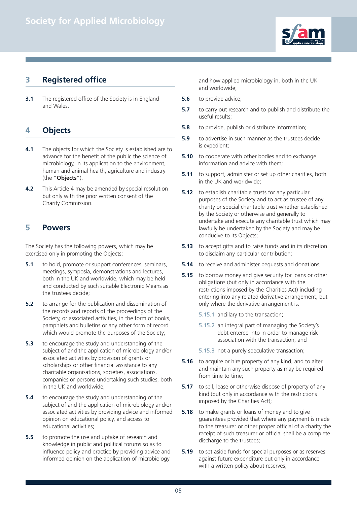

# **3 Registered office**

**3.1** The registered office of the Society is in England and Wales.

# **4 Objects**

- **4.1** The objects for which the Society is established are to advance for the benefit of the public the science of microbiology, in its application to the environment, human and animal health, agriculture and industry (the "**Objects**").
- **4.2** This Article 4 may be amended by special resolution but only with the prior written consent of the Charity Commission.

### **5 Powers**

The Society has the following powers, which may be exercised only in promoting the Objects:

- **5.1** to hold, promote or support conferences, seminars, meetings, symposia, demonstrations and lectures, both in the UK and worldwide, which may be held and conducted by such suitable Electronic Means as the trustees decide;
- **5.2** to arrange for the publication and dissemination of the records and reports of the proceedings of the Society, or associated activities, in the form of books, pamphlets and bulletins or any other form of record which would promote the purposes of the Society:
- **5.3** to encourage the study and understanding of the subject of and the application of microbiology and/or associated activities by provision of grants or scholarships or other financial assistance to any charitable organisations, societies, associations, companies or persons undertaking such studies, both in the UK and worldwide;
- **5.4** to encourage the study and understanding of the subject of and the application of microbiology and/or associated activities by providing advice and informed opinion on educational policy, and access to educational activities;
- **5.5** to promote the use and uptake of research and knowledge in public and political forums so as to influence policy and practice by providing advice and informed opinion on the application of microbiology

and how applied microbiology in, both in the UK and worldwide;

- **5.6** to provide advice;
- **5.7** to carry out research and to publish and distribute the useful results;
- **5.8** to provide, publish or distribute information;
- **5.9** to advertise in such manner as the trustees decide is expedient;
- **5.10** to cooperate with other bodies and to exchange information and advice with them;
- **5.11** to support, administer or set up other charities, both in the UK and worldwide;
- **5.12** to establish charitable trusts for any particular purposes of the Society and to act as trustee of any charity or special charitable trust whether established by the Society or otherwise and generally to undertake and execute any charitable trust which may lawfully be undertaken by the Society and may be conducive to its Objects;
- **5.13** to accept gifts and to raise funds and in its discretion to disclaim any particular contribution;
- **5.14** to receive and administer bequests and donations;
- **5.15** to borrow money and give security for loans or other obligations (but only in accordance with the restrictions imposed by the Charities Act) including entering into any related derivative arrangement, but only where the derivative arrangement is:
	- 5.15.1 ancillary to the transaction;
	- 5.15.2 an integral part of managing the Society's debt entered into in order to manage risk association with the transaction; and
	- 5.15.3 not a purely speculative transaction;
- **5.16** to acquire or hire property of any kind, and to alter and maintain any such property as may be required from time to time:
- **5.17** to sell, lease or otherwise dispose of property of any kind (but only in accordance with the restrictions imposed by the Charities Act);
- **5.18** to make grants or loans of money and to give guarantees provided that where any payment is made to the treasurer or other proper official of a charity the receipt of such treasurer or official shall be a complete discharge to the trustees;
- **5.19** to set aside funds for special purposes or as reserves against future expenditure but only in accordance with a written policy about reserves;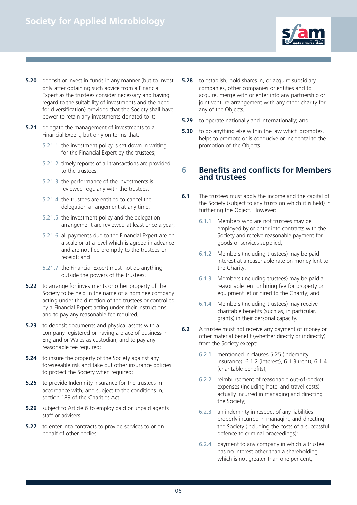

- **5.20** deposit or invest in funds in any manner (but to invest only after obtaining such advice from a Financial Expert as the trustees consider necessary and having regard to the suitability of investments and the need for diversification) provided that the Society shall have power to retain any investments donated to it;
- **5.21** delegate the management of investments to a Financial Expert, but only on terms that:
	- 5.21.1 the investment policy is set down in writing for the Financial Expert by the trustees;
	- 5.21.2 timely reports of all transactions are provided to the trustees;
	- 5.21.3 the performance of the investments is reviewed regularly with the trustees:
	- 5.21.4 the trustees are entitled to cancel the delegation arrangement at any time;
	- 5.21.5 the investment policy and the delegation arrangement are reviewed at least once a year;
	- 5.21.6 all payments due to the Financial Expert are on a scale or at a level which is agreed in advance and are notified promptly to the trustees on receipt; and
	- 5.21.7 the Financial Expert must not do anything outside the powers of the trustees;
- **5.22** to arrange for investments or other property of the Society to be held in the name of a nominee company acting under the direction of the trustees or controlled by a Financial Expert acting under their instructions and to pay any reasonable fee required;
- **5.23** to deposit documents and physical assets with a company registered or having a place of business in England or Wales as custodian, and to pay any reasonable fee required:
- **5.24** to insure the property of the Society against any foreseeable risk and take out other insurance policies to protect the Society when required;
- **5.25** to provide Indemnity Insurance for the trustees in accordance with, and subject to the conditions in, section 189 of the Charities Act;
- **5.26** subject to Article 6 to employ paid or unpaid agents staff or advisers;
- **5.27** to enter into contracts to provide services to or on behalf of other bodies;
- **5.28** to establish, hold shares in, or acquire subsidiary companies, other companies or entities and to acquire, merge with or enter into any partnership or joint venture arrangement with any other charity for any of the Objects;
- **5.29** to operate nationally and internationally; and
- **5.30** to do anything else within the law which promotes, helps to promote or is conducive or incidental to the promotion of the Objects.

#### **6 Benefits and conflicts for Members and trustees**

- **6.1** The trustees must apply the income and the capital of the Society (subject to any trusts on which it is held) in furthering the Object. However:
	- 6.1.1 Members who are not trustees may be employed by or enter into contracts with the Society and receive reasonable payment for goods or services supplied;
	- 6.1.2 Members (including trustees) may be paid interest at a reasonable rate on money lent to the Charity;
	- 6.1.3 Members (including trustees) may be paid a reasonable rent or hiring fee for property or equipment let or hired to the Charity; and
	- 6.1.4 Members (including trustees) may receive charitable benefits (such as, in particular, grants) in their personal capacity.
- **6.2** A trustee must not receive any payment of money or other material benefit (whether directly or indirectly) from the Society except:
	- 6.2.1 mentioned in clauses 5.25 (Indemnity Insurance), 6.1.2 (interest), 6.1.3 (rent), 6.1.4 (charitable benefits);
	- 6.2.2 reimbursement of reasonable out-of-pocket expenses (including hotel and travel costs) actually incurred in managing and directing the Society;
	- 6.2.3 an indemnity in respect of any liabilities properly incurred in managing and directing the Society (including the costs of a successful defence to criminal proceedings);
	- 6.2.4 payment to any company in which a trustee has no interest other than a shareholding which is not greater than one per cent;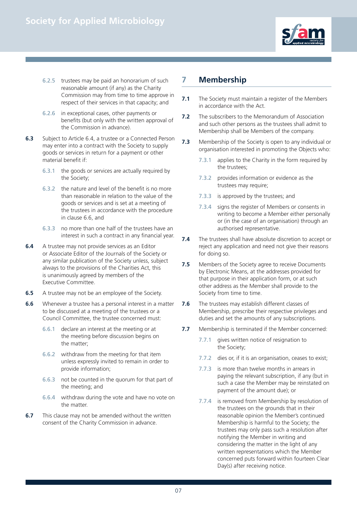

- 6.2.5 trustees may be paid an honorarium of such reasonable amount (if any) as the Charity Commission may from time to time approve in respect of their services in that capacity; and
- 6.2.6 in exceptional cases, other payments or benefits (but only with the written approval of the Commission in advance).
- **6.3** Subject to Article 6.4, a trustee or a Connected Person may enter into a contract with the Society to supply goods or services in return for a payment or other material benefit if:
	- 6.3.1 the goods or services are actually required by the Society;
	- 6.3.2 the nature and level of the benefit is no more than reasonable in relation to the value of the goods or services and is set at a meeting of the trustees in accordance with the procedure in clause 6.6, and
	- 6.3.3 no more than one half of the trustees have an interest in such a contract in any financial year.
- **6.4** A trustee may not provide services as an Editor or Associate Editor of the Journals of the Society or any similar publication of the Society unless, subject always to the provisions of the Charities Act, this is unanimously agreed by members of the Executive Committee.
- **6.5** A trustee may not be an employee of the Society.
- **6.6** Whenever a trustee has a personal interest in a matter to be discussed at a meeting of the trustees or a Council Committee, the trustee concerned must:
	- 6.6.1 declare an interest at the meeting or at the meeting before discussion begins on the matter;
	- 6.6.2 withdraw from the meeting for that item unless expressly invited to remain in order to provide information;
	- 6.6.3 not be counted in the quorum for that part of the meeting; and
	- 6.6.4 withdraw during the vote and have no vote on the matter.
- **6.7** This clause may not be amended without the written consent of the Charity Commission in advance.

# **7 Membership**

- **7.1** The Society must maintain a register of the Members in accordance with the Act.
- **7.2** The subscribers to the Memorandum of Association and such other persons as the trustees shall admit to Membership shall be Members of the company.
- **7.3** Membership of the Society is open to any individual or organisation interested in promoting the Objects who:
	- 7.3.1 applies to the Charity in the form required by the trustees;
	- 7.3.2 provides information or evidence as the trustees may require;
	- 7.3.3 is approved by the trustees; and
	- 7.3.4 signs the register of Members or consents in writing to become a Member either personally or (in the case of an organisation) through an authorised representative.
- **7.4** The trustees shall have absolute discretion to accept or reject any application and need not give their reasons for doing so.
- **7.5** Members of the Society agree to receive Documents by Electronic Means, at the addresses provided for that purpose in their application form, or at such other address as the Member shall provide to the Society from time to time.
- **7.6** The trustees may establish different classes of Membership, prescribe their respective privileges and duties and set the amounts of any subscriptions.
- **7.7** Membership is terminated if the Member concerned:
	- 7.7.1 gives written notice of resignation to the Society;
	- 7.7.2 dies or, if it is an organisation, ceases to exist;
	- 7.7.3 is more than twelve months in arrears in paying the relevant subscription, if any (but in such a case the Member may be reinstated on payment of the amount due); or
	- 7.7.4 is removed from Membership by resolution of the trustees on the grounds that in their reasonable opinion the Member's continued Membership is harmful to the Society; the trustees may only pass such a resolution after notifying the Member in writing and considering the matter in the light of any written representations which the Member concerned puts forward within fourteen Clear Day(s) after receiving notice.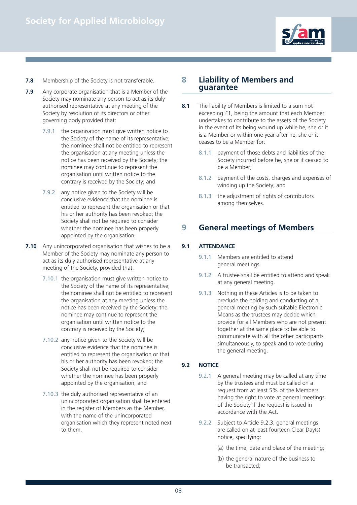

- **7.8** Membership of the Society is not transferable.
- **7.9** Any corporate organisation that is a Member of the Society may nominate any person to act as its duly authorised representative at any meeting of the Society by resolution of its directors or other governing body provided that:
	- 7.9.1 the organisation must give written notice to the Society of the name of its representative; the nominee shall not be entitled to represent the organisation at any meeting unless the notice has been received by the Society; the nominee may continue to represent the organisation until written notice to the contrary is received by the Society; and
	- 7.9.2 any notice given to the Society will be conclusive evidence that the nominee is entitled to represent the organisation or that his or her authority has been revoked; the Society shall not be required to consider whether the nominee has been properly appointed by the organisation.
- **7.10** Any unincorporated organisation that wishes to be a Member of the Society may nominate any person to act as its duly authorised representative at any meeting of the Society, provided that:
	- 7.10.1 the organisation must give written notice to the Society of the name of its representative; the nominee shall not be entitled to represent the organisation at any meeting unless the notice has been received by the Society; the nominee may continue to represent the organisation until written notice to the contrary is received by the Society;
	- 7.10.2 any notice given to the Society will be conclusive evidence that the nominee is entitled to represent the organisation or that his or her authority has been revoked; the Society shall not be required to consider whether the nominee has been properly appointed by the organisation; and
	- 7.10.3 the duly authorised representative of an unincorporated organisation shall be entered in the register of Members as the Member, with the name of the unincorporated organisation which they represent noted next to them.

#### **8 Liability of Members and guarantee**

- **8.1** The liability of Members is limited to a sum not exceeding £1, being the amount that each Member undertakes to contribute to the assets of the Society in the event of its being wound up while he, she or it is a Member or within one year after he, she or it ceases to be a Member for:
	- 8.1.1 payment of those debts and liabilities of the Society incurred before he, she or it ceased to be a Member;
	- 8.1.2 payment of the costs, charges and expenses of winding up the Society; and
	- 8.1.3 the adjustment of rights of contributors among themselves.

# **9 General meetings of Members**

#### **9.1 ATTENDANCE**

- 9.1.1 Members are entitled to attend general meetings.
- 9.1.2 A trustee shall be entitled to attend and speak at any general meeting.
- 9.1.3 Nothing in these Articles is to be taken to preclude the holding and conducting of a general meeting by such suitable Electronic Means as the trustees may decide which provide for all Members who are not present together at the same place to be able to communicate with all the other participants simultaneously, to speak and to vote during the general meeting.

#### **9.2 NOTICE**

- 9.2.1 A general meeting may be called at any time by the trustees and must be called on a request from at least 5% of the Members having the right to vote at general meetings of the Society if the request is issued in accordance with the Act.
- 9.2.2 Subject to Article 9.2.3, general meetings are called on at least fourteen Clear Day(s) notice, specifying:
	- (a) the time, date and place of the meeting;
	- (b) the general nature of the business to be transacted;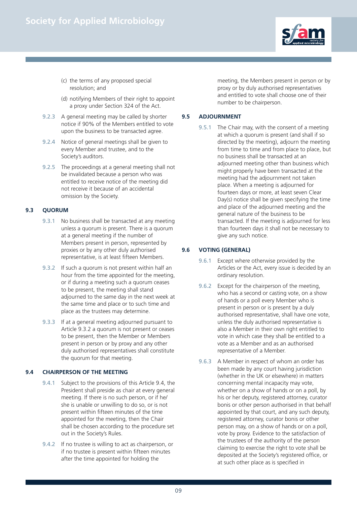

- (c) the terms of any proposed special resolution; and
- (d) notifying Members of their right to appoint a proxy under Section 324 of the Act.
- 9.2.3 A general meeting may be called by shorter notice if 90% of the Members entitled to vote upon the business to be transacted agree.
- 9.2.4 Notice of general meetings shall be given to every Member and trustee, and to the Society's auditors.
- 9.2.5 The proceedings at a general meeting shall not be invalidated because a person who was entitled to receive notice of the meeting did not receive it because of an accidental omission by the Society.

#### **9.3 QUORUM**

- 9.3.1 No business shall be transacted at any meeting unless a quorum is present. There is a quorum at a general meeting if the number of Members present in person, represented by proxies or by any other duly authorised representative, is at least fifteen Members.
- 9.3.2 If such a quorum is not present within half an hour from the time appointed for the meeting, or if during a meeting such a quorum ceases to be present, the meeting shall stand adjourned to the same day in the next week at the same time and place or to such time and place as the trustees may determine.
- 9.3.3 If at a general meeting adjourned pursuant to Article 9.3.2 a quorum is not present or ceases to be present, then the Member or Members present in person or by proxy and any other duly authorised representatives shall constitute the quorum for that meeting.

#### **9.4 CHAIRPERSON OF THE MEETING**

- 9.4.1 Subject to the provisions of this Article 9.4, the President shall preside as chair at every general meeting. If there is no such person, or if he/ she is unable or unwilling to do so, or is not present within fifteen minutes of the time appointed for the meeting, then the Chair shall be chosen according to the procedure set out in the Society's Rules.
- 9.4.2 If no trustee is willing to act as chairperson, or if no trustee is present within fifteen minutes after the time appointed for holding the

meeting, the Members present in person or by proxy or by duly authorised representatives and entitled to vote shall choose one of their number to be chairperson.

#### **9.5 ADJOURNMENT**

9.5.1 The Chair may, with the consent of a meeting at which a quorum is present (and shall if so directed by the meeting), adjourn the meeting from time to time and from place to place, but no business shall be transacted at an adjourned meeting other than business which might properly have been transacted at the meeting had the adjournment not taken place. When a meeting is adjourned for fourteen days or more, at least seven Clear Day(s) notice shall be given specifying the time and place of the adjourned meeting and the general nature of the business to be transacted. If the meeting is adjourned for less than fourteen days it shall not be necessary to give any such notice.

#### **9.6 VOTING (GENERAL)**

- 9.6.1 Except where otherwise provided by the Articles or the Act, every issue is decided by an ordinary resolution.
- 9.6.2 Except for the chairperson of the meeting. who has a second or casting vote, on a show of hands or a poll every Member who is present in person or is present by a duly authorised representative, shall have one vote, unless the duly authorised representative is also a Member in their own right entitled to vote in which case they shall be entitled to a vote as a Member and as an authorised representative of a Member.
- 9.6.3 A Member in respect of whom an order has been made by any court having jurisdiction (whether in the UK or elsewhere) in matters concerning mental incapacity may vote, whether on a show of hands or on a poll, by his or her deputy, registered attorney, curator bonis or other person authorised in that behalf appointed by that court, and any such deputy, registered attorney, curator bonis or other person may, on a show of hands or on a poll, vote by proxy. Evidence to the satisfaction of the trustees of the authority of the person claiming to exercise the right to vote shall be deposited at the Society's registered office, or at such other place as is specified in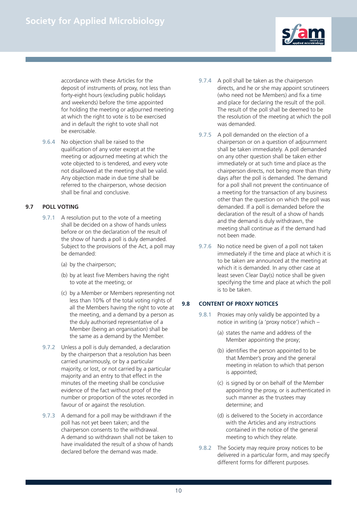

accordance with these Articles for the deposit of instruments of proxy, not less than forty-eight hours (excluding public holidays and weekends) before the time appointed for holding the meeting or adjourned meeting at which the right to vote is to be exercised and in default the right to vote shall not be exercisable.

9.6.4 No objection shall be raised to the qualification of any voter except at the meeting or adjourned meeting at which the vote objected to is tendered, and every vote not disallowed at the meeting shall be valid. Any objection made in due time shall be referred to the chairperson, whose decision shall be final and conclusive.

#### **9.7 POLL VOTING**

- 9.7.1 A resolution put to the vote of a meeting shall be decided on a show of hands unless before or on the declaration of the result of the show of hands a poll is duly demanded. Subject to the provisions of the Act, a poll may be demanded:
	- (a) by the chairperson;
	- (b) by at least five Members having the right to vote at the meeting; or
	- (c) by a Member or Members representing not less than 10% of the total voting rights of all the Members having the right to vote at the meeting, and a demand by a person as the duly authorised representative of a Member (being an organisation) shall be the same as a demand by the Member.
- 9.7.2 Unless a poll is duly demanded, a declaration by the chairperson that a resolution has been carried unanimously, or by a particular majority, or lost, or not carried by a particular majority and an entry to that effect in the minutes of the meeting shall be conclusive evidence of the fact without proof of the number or proportion of the votes recorded in favour of or against the resolution.
- 9.7.3 A demand for a poll may be withdrawn if the poll has not yet been taken; and the chairperson consents to the withdrawal. A demand so withdrawn shall not be taken to have invalidated the result of a show of hands declared before the demand was made.
- 9.7.4 A poll shall be taken as the chairperson directs, and he or she may appoint scrutineers (who need not be Members) and fix a time and place for declaring the result of the poll. The result of the poll shall be deemed to be the resolution of the meeting at which the poll was demanded.
- 9.7.5 A poll demanded on the election of a chairperson or on a question of adjournment shall be taken immediately. A poll demanded on any other question shall be taken either immediately or at such time and place as the chairperson directs, not being more than thirty days after the poll is demanded. The demand for a poll shall not prevent the continuance of a meeting for the transaction of any business other than the question on which the poll was demanded. If a poll is demanded before the declaration of the result of a show of hands and the demand is duly withdrawn, the meeting shall continue as if the demand had not been made.
- 9.7.6 No notice need be given of a poll not taken immediately if the time and place at which it is to be taken are announced at the meeting at which it is demanded. In any other case at least seven Clear Day(s) notice shall be given specifying the time and place at which the poll is to be taken.

#### **9.8 CONTENT OF PROXY NOTICES**

- 9.8.1 Proxies may only validly be appointed by a notice in writing (a 'proxy notice') which –
	- (a) states the name and address of the Member appointing the proxy;
	- (b) identifies the person appointed to be that Member's proxy and the general meeting in relation to which that person is appointed;
	- (c) is signed by or on behalf of the Member appointing the proxy, or is authenticated in such manner as the trustees may determine; and
	- (d) is delivered to the Society in accordance with the Articles and any instructions contained in the notice of the general meeting to which they relate.
- 9.8.2 The Society may require proxy notices to be delivered in a particular form, and may specify different forms for different purposes.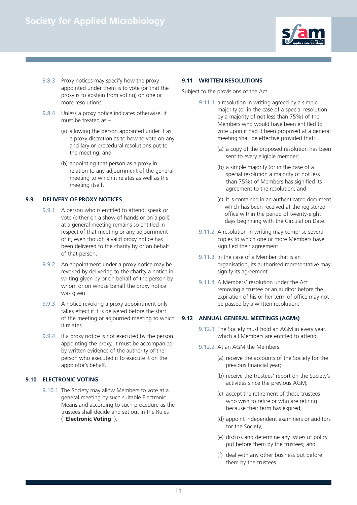

- 9.8.3 Proxy notices may specify how the proxy appointed under them is to vote (or that the proxy is to abstain from voting) on one or more resolutions.
- 9.8.4 Unless a proxy notice indicates otherwise, it must be treated as –
	- (a) allowing the person appointed under it as a proxy discretion as to how to vote on any ancillary or procedural resolutions put to the meeting; and
	- (b) appointing that person as a proxy in relation to any adjournment of the general meeting to which it relates as well as the meeting itself.

#### **9.9 DELIVERY OF PROXY NOTICES**

- 9.9.1 A person who is entitled to attend, speak or vote (either on a show of hands or on a poll) at a general meeting remains so entitled in respect of that meeting or any adjournment of it, even though a valid proxy notice has been delivered to the charity by or on behalf of that person.
- 9.9.2 An appointment under a proxy notice may be revoked by delivering to the charity a notice in writing given by or on behalf of the person by whom or on whose behalf the proxy notice was given.
- 9.9.3 A notice revoking a proxy appointment only takes effect if it is delivered before the start of the meeting or adjourned meeting to which it relates.
- 9.9.4 If a proxy notice is not executed by the person appointing the proxy, it must be accompanied by written evidence of the authority of the person who executed it to execute it on the appointor's behalf.

#### **9.10 ELECTRONIC VOTING**

9.10.1 The Society may allow Members to vote at a general meeting by such suitable Electronic Means and according to such procedure as the trustees shall decide and set out in the Rules ("**Electronic Voting**").

#### **9.11 WRITTEN RESOLUTIONS**

Subject to the provisions of the Act:

- 9.11.1 a resolution in writing agreed by a simple majority (or in the case of a special resolution by a majority of not less than 75%) of the Members who would have been entitled to vote upon it had it been proposed at a general meeting shall be effective provided that:
	- (a) a copy of the proposed resolution has been sent to every eligible member;
	- (b) a simple majority (or in the case of a special resolution a majority of not less than 75%) of Members has signified its agreement to the resolution; and
	- (c) it is contained in an authenticated document which has been received at the registered office within the period of twenty-eight days beginning with the Circulation Date.
- 9.11.2 A resolution in writing may comprise several copies to which one or more Members have signified their agreement.
- 9.11.3 In the case of a Member that is an organisation, its authorised representative may signify its agreement.
- 9.11.4 A Members' resolution under the Act removing a trustee or an auditor before the expiration of his or her term of office may not be passed by a written resolution.

#### **9.12 ANNUAL GENERAL MEETINGS (AGMs)**

- 9.12.1 The Society must hold an AGM in every year, which all Members are entitled to attend.
- 9.12.2 At an AGM the Members:
	- (a) receive the accounts of the Society for the previous financial year;
	- (b) receive the trustees' report on the Society's activities since the previous AGM;
	- (c) accept the retirement of those trustees who wish to retire or who are retiring because their term has expired;
	- (d) appoint independent examiners or auditors for the Society;
	- (e) discuss and determine any issues of policy put before them by the trustees; and
	- (f) deal with any other business put before them by the trustees.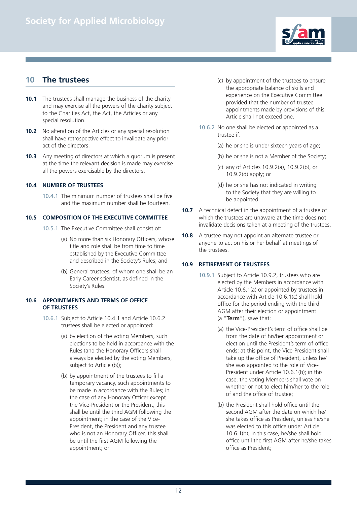

# **10 The trustees**

- **10.1** The trustees shall manage the business of the charity and may exercise all the powers of the charity subject to the Charities Act, the Act, the Articles or any special resolution.
- **10.2** No alteration of the Articles or any special resolution shall have retrospective effect to invalidate any prior act of the directors.
- **10.3** Any meeting of directors at which a quorum is present at the time the relevant decision is made may exercise all the powers exercisable by the directors.

#### **10.4 NUMBER OF TRUSTEES**

10.4.1 The minimum number of trustees shall be five and the maximum number shall be fourteen.

#### **10.5 COMPOSITION OF THE EXECUTIVE COMMITTEE**

- 10.5.1 The Executive Committee shall consist of:
	- (a) No more than six Honorary Officers, whose title and role shall be from time to time established by the Executive Committee and described in the Society's Rules; and
	- (b) General trustees, of whom one shall be an Early Career scientist, as defined in the Society's Rules.

#### **10.6 APPOINTMENTS AND TERMS OF OFFICE OF TRUSTEES**

- 10.6.1 Subject to Article 10.4.1 and Article 10.6.2 trustees shall be elected or appointed:
	- (a) by election of the voting Members, such elections to be held in accordance with the Rules (and the Honorary Officers shall always be elected by the voting Members, subject to Article (b));
	- (b) by appointment of the trustees to fill a temporary vacancy, such appointments to be made in accordance with the Rules; in the case of any Honorary Officer except the Vice-President or the President, this shall be until the third AGM following the appointment; in the case of the Vice-President, the President and any trustee who is not an Honorary Officer, this shall be until the first AGM following the appointment; or
- (c) by appointment of the trustees to ensure the appropriate balance of skills and experience on the Executive Committee provided that the number of trustee appointments made by provisions of this Article shall not exceed one.
- 10.6.2 No one shall be elected or appointed as a trustee if:
	- (a) he or she is under sixteen years of age;
	- (b) he or she is not a Member of the Society;
	- (c) any of Articles 10.9.2(a), 10.9.2(b), or 10.9.2(d) apply; or
	- (d) he or she has not indicated in writing to the Society that they are willing to be appointed.
- **10.7** A technical defect in the appointment of a trustee of which the trustees are unaware at the time does not invalidate decisions taken at a meeting of the trustees.
- **10.8** A trustee may not appoint an alternate trustee or anyone to act on his or her behalf at meetings of the trustees.

#### **10.9 RETIREMENT OF TRUSTEES**

- 10.9.1 Subject to Article 10.9.2, trustees who are elected by the Members in accordance with Article 10.6.1(a) or appointed by trustees in accordance with Article 10.6.1(c) shall hold office for the period ending with the third AGM after their election or appointment (a "**Term**"), save that:
	- (a) the Vice-President's term of office shall be from the date of his/her appointment or election until the President's term of office ends; at this point, the Vice-President shall take up the office of President, unless he/ she was appointed to the role of Vice-President under Article 10.6.1(b); in this case, the voting Members shall vote on whether or not to elect him/her to the role of and the office of trustee;
	- (b) the President shall hold office until the second AGM after the date on which he/ she takes office as President, unless he/she was elected to this office under Article 10.6.1(b); in this case, he/she shall hold office until the first AGM after he/she takes office as President;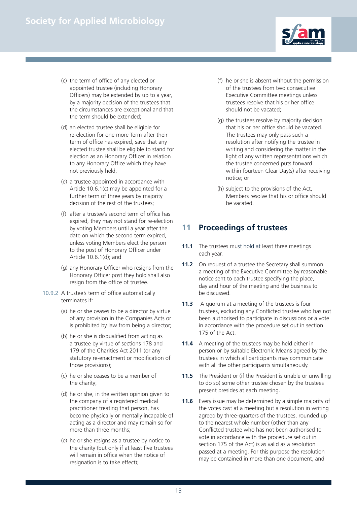

- (c) the term of office of any elected or appointed trustee (including Honorary Officers) may be extended by up to a year, by a majority decision of the trustees that the circumstances are exceptional and that the term should be extended;
- (d) an elected trustee shall be eligible for re-election for one more Term after their term of office has expired, save that any elected trustee shall be eligible to stand for election as an Honorary Officer in relation to any Honorary Office which they have not previously held;
- (e) a trustee appointed in accordance with Article 10.6.1(c) may be appointed for a further term of three years by majority decision of the rest of the trustees;
- (f) after a trustee's second term of office has expired, they may not stand for re-election by voting Members until a year after the date on which the second term expired, unless voting Members elect the person to the post of Honorary Officer under Article 10.6.1(d); and
- (g) any Honorary Officer who resigns from the Honorary Officer post they hold shall also resign from the office of trustee.
- 10.9.2 A trustee's term of office automatically terminates if:
	- (a) he or she ceases to be a director by virtue of any provision in the Companies Acts or is prohibited by law from being a director;
	- (b) he or she is disqualified from acting as a trustee by virtue of sections 178 and 179 of the Charities Act 2011 (or any statutory re-enactment or modification of those provisions);
	- (c) he or she ceases to be a member of the charity;
	- (d) he or she, in the written opinion given to the company of a registered medical practitioner treating that person, has become physically or mentally incapable of acting as a director and may remain so for more than three months;
	- (e) he or she resigns as a trustee by notice to the charity (but only if at least five trustees will remain in office when the notice of resignation is to take effect);
- (f) he or she is absent without the permission of the trustees from two consecutive Executive Committee meetings unless trustees resolve that his or her office should not be vacated;
- (g) the trustees resolve by majority decision that his or her office should be vacated. The trustees may only pass such a resolution after notifying the trustee in writing and considering the matter in the light of any written representations which the trustee concerned puts forward within fourteen Clear Day(s) after receiving notice; or
- (h) subject to the provisions of the Act, Members resolve that his or office should be vacated.

# **11 Proceedings of trustees**

- **11.1** The trustees must hold at least three meetings each year.
- **11.2** On request of a trustee the Secretary shall summon a meeting of the Executive Committee by reasonable notice sent to each trustee specifying the place, day and hour of the meeting and the business to be discussed.
- **11.3** A quorum at a meeting of the trustees is four trustees, excluding any Conflicted trustee who has not been authorised to participate in discussions or a vote in accordance with the procedure set out in section 175 of the Act.
- **11.4** A meeting of the trustees may be held either in person or by suitable Electronic Means agreed by the trustees in which all participants may communicate with all the other participants simultaneously.
- **11.5** The President or (if the President is unable or unwilling to do so) some other trustee chosen by the trustees present presides at each meeting.
- **11.6** Every issue may be determined by a simple majority of the votes cast at a meeting but a resolution in writing agreed by three-quarters of the trustees, rounded up to the nearest whole number (other than any Conflicted trustee who has not been authorised to vote in accordance with the procedure set out in section 175 of the Act) is as valid as a resolution passed at a meeting. For this purpose the resolution may be contained in more than one document, and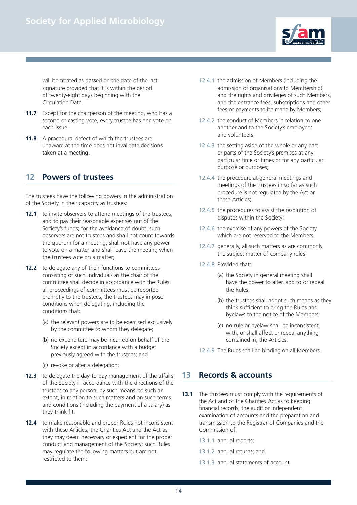

will be treated as passed on the date of the last signature provided that it is within the period of twenty-eight days beginning with the Circulation Date.

- **11.7** Except for the chairperson of the meeting, who has a second or casting vote, every trustee has one vote on each issue.
- **11.8** A procedural defect of which the trustees are unaware at the time does not invalidate decisions taken at a meeting.

# **12 Powers of trustees**

The trustees have the following powers in the administration of the Society in their capacity as trustees:

- **12.1** to invite observers to attend meetings of the trustees. and to pay their reasonable expenses out of the Society's funds; for the avoidance of doubt, such observers are not trustees and shall not count towards the quorum for a meeting, shall not have any power to vote on a matter and shall leave the meeting when the trustees vote on a matter;
- **12.2** to delegate any of their functions to committees consisting of such individuals as the chair of the committee shall decide in accordance with the Rules; all proceedings of committees must be reported promptly to the trustees; the trustees may impose conditions when delegating, including the conditions that:
	- (a) the relevant powers are to be exercised exclusively by the committee to whom they delegate;
	- (b) no expenditure may be incurred on behalf of the Society except in accordance with a budget previously agreed with the trustees; and
	- (c) revoke or alter a delegation;
- **12.3** to delegate the day-to-day management of the affairs of the Society in accordance with the directions of the trustees to any person, by such means, to such an extent, in relation to such matters and on such terms and conditions (including the payment of a salary) as they think fit;
- **12.4** to make reasonable and proper Rules not inconsistent with these Articles, the Charities Act and the Act as they may deem necessary or expedient for the proper conduct and management of the Society; such Rules may regulate the following matters but are not restricted to them:
- 12.4.1 the admission of Members (including the admission of organisations to Membership) and the rights and privileges of such Members, and the entrance fees, subscriptions and other fees or payments to be made by Members;
- 12.4.2 the conduct of Members in relation to one another and to the Society's employees and volunteers;
- 12.4.3 the setting aside of the whole or any part or parts of the Society's premises at any particular time or times or for any particular purpose or purposes;
- 12.4.4 the procedure at general meetings and meetings of the trustees in so far as such procedure is not regulated by the Act or these Articles;
- 12.4.5 the procedures to assist the resolution of disputes within the Society;
- 12.4.6 the exercise of any powers of the Society which are not reserved to the Members;
- 12.4.7 generally, all such matters as are commonly the subject matter of company rules;
- 12.4.8 Provided that:
	- (a) the Society in general meeting shall have the power to alter, add to or repeal the Rules;
	- (b) the trustees shall adopt such means as they think sufficient to bring the Rules and byelaws to the notice of the Members;
	- (c) no rule or byelaw shall be inconsistent with, or shall affect or repeal anything contained in, the Articles.
- 12.4.9 The Rules shall be binding on all Members.

# **13 Records & accounts**

- **13.1** The trustees must comply with the requirements of the Act and of the Charities Act as to keeping financial records, the audit or independent examination of accounts and the preparation and transmission to the Registrar of Companies and the Commission of:
	- 13.1.1 annual reports;
	- 13.1.2 annual returns; and
	- 13.1.3 annual statements of account.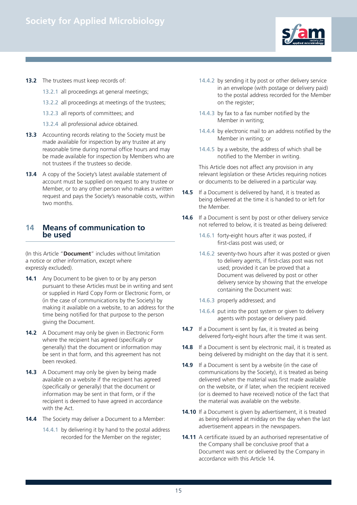

- **13.2** The trustees must keep records of:
	- 13.2.1 all proceedings at general meetings;
	- 13.2.2 all proceedings at meetings of the trustees;
	- 13.2.3 all reports of committees; and
	- 13.2.4 all professional advice obtained.
- **13.3** Accounting records relating to the Society must be made available for inspection by any trustee at any reasonable time during normal office hours and may be made available for inspection by Members who are not trustees if the trustees so decide.
- **13.4** A copy of the Society's latest available statement of account must be supplied on request to any trustee or Member, or to any other person who makes a written request and pays the Society's reasonable costs, within two months.

#### **14 Means of communication to be used**

(In this Article "**Document**" includes without limitation a notice or other information, except where expressly excluded).

- **14.1** Any Document to be given to or by any person pursuant to these Articles must be in writing and sent or supplied in Hard Copy Form or Electronic Form, or (in the case of communications by the Society) by making it available on a website, to an address for the time being notified for that purpose to the person giving the Document.
- **14.2** A Document may only be given in Electronic Form where the recipient has agreed (specifically or generally) that the document or information may be sent in that form, and this agreement has not been revoked.
- **14.3** A Document may only be given by being made available on a website if the recipient has agreed (specifically or generally) that the document or information may be sent in that form, or if the recipient is deemed to have agreed in accordance with the Act.
- **14.4** The Society may deliver a Document to a Member:
	- 14.4.1 by delivering it by hand to the postal address recorded for the Member on the register;
- 14.4.2 by sending it by post or other delivery service in an envelope (with postage or delivery paid) to the postal address recorded for the Member on the register;
- 14.4.3 by fax to a fax number notified by the Member in writing;
- 14.4.4 by electronic mail to an address notified by the Member in writing; or
- 14.4.5 by a website, the address of which shall be notified to the Member in writing.

 This Article does not affect any provision in any relevant legislation or these Articles requiring notices or documents to be delivered in a particular way.

- **14.5** If a Document is delivered by hand, it is treated as being delivered at the time it is handed to or left for the Member.
- **14.6** If a Document is sent by post or other delivery service not referred to below, it is treated as being delivered:
	- 14.6.1 forty-eight hours after it was posted, if first-class post was used; or
	- 14.6.2 seventy-two hours after it was posted or given to delivery agents, if first-class post was not used; provided it can be proved that a Document was delivered by post or other delivery service by showing that the envelope containing the Document was:
	- 14.6.3 properly addressed; and
	- 14.6.4 put into the post system or given to delivery agents with postage or delivery paid.
- **14.7** If a Document is sent by fax, it is treated as being delivered forty-eight hours after the time it was sent.
- **14.8** If a Document is sent by electronic mail, it is treated as being delivered by midnight on the day that it is sent.
- **14.9** If a Document is sent by a website (in the case of communications by the Society), it is treated as being delivered when the material was first made available on the website, or if later, when the recipient received (or is deemed to have received) notice of the fact that the material was available on the website.
- **14.10** If a Document is given by advertisement, it is treated as being delivered at midday on the day when the last advertisement appears in the newspapers.
- **14.11** A certificate issued by an authorised representative of the Company shall be conclusive proof that a Document was sent or delivered by the Company in accordance with this Article 14.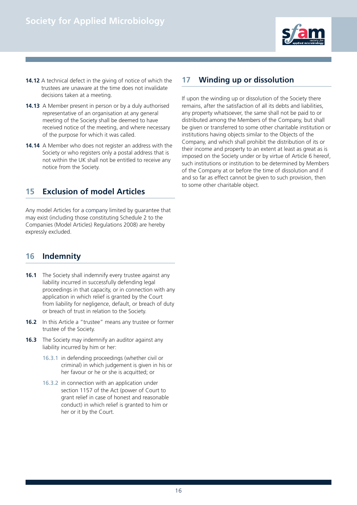

- **14.12** A technical defect in the giving of notice of which the trustees are unaware at the time does not invalidate decisions taken at a meeting.
- **14.13** A Member present in person or by a duly authorised representative of an organisation at any general meeting of the Society shall be deemed to have received notice of the meeting, and where necessary of the purpose for which it was called.
- **14.14** A Member who does not register an address with the Society or who registers only a postal address that is not within the UK shall not be entitled to receive any notice from the Society.

# **15 Exclusion of model Articles**

Any model Articles for a company limited by guarantee that may exist (including those constituting Schedule 2 to the Companies (Model Articles) Regulations 2008) are hereby expressly excluded.

### **16 Indemnity**

- **16.1** The Society shall indemnify every trustee against any liability incurred in successfully defending legal proceedings in that capacity, or in connection with any application in which relief is granted by the Court from liability for negligence, default, or breach of duty or breach of trust in relation to the Society.
- **16.2** In this Article a "trustee" means any trustee or former trustee of the Society.
- **16.3** The Society may indemnify an auditor against any liability incurred by him or her:
	- 16.3.1 in defending proceedings (whether civil or criminal) in which judgement is given in his or her favour or he or she is acquitted; or
	- 16.3.2 in connection with an application under section 1157 of the Act (power of Court to grant relief in case of honest and reasonable conduct) in which relief is granted to him or her or it by the Court.

### **17 Winding up or dissolution**

If upon the winding up or dissolution of the Society there remains, after the satisfaction of all its debts and liabilities, any property whatsoever, the same shall not be paid to or distributed among the Members of the Company, but shall be given or transferred to some other charitable institution or institutions having objects similar to the Objects of the Company, and which shall prohibit the distribution of its or their income and property to an extent at least as great as is imposed on the Society under or by virtue of Article 6 hereof, such institutions or institution to be determined by Members of the Company at or before the time of dissolution and if and so far as effect cannot be given to such provision, then to some other charitable object.